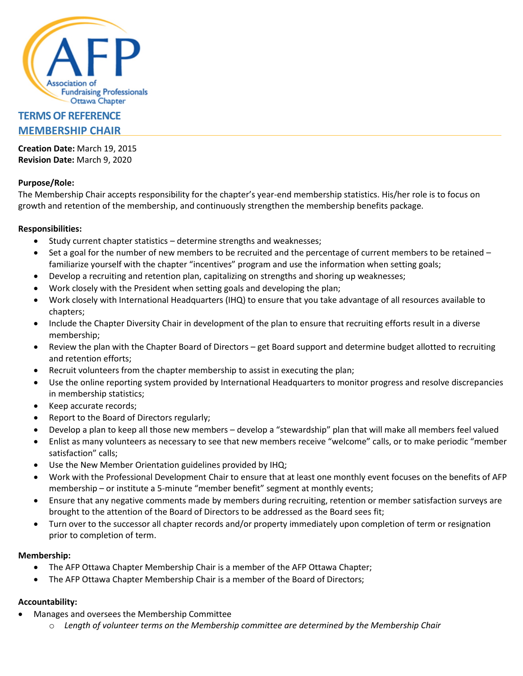

# **TERMS OF REFERENCE MEMBERSHIP CHAIR**

**Creation Date:** March 19, 2015 **Revision Date:** March 9, 2020

# **Purpose/Role:**

The Membership Chair accepts responsibility for the chapter's year-end membership statistics. His/her role is to focus on growth and retention of the membership, and continuously strengthen the membership benefits package.

## **Responsibilities:**

- Study current chapter statistics determine strengths and weaknesses;
- Set a goal for the number of new members to be recruited and the percentage of current members to be retained familiarize yourself with the chapter "incentives" program and use the information when setting goals;
- Develop a recruiting and retention plan, capitalizing on strengths and shoring up weaknesses;
- Work closely with the President when setting goals and developing the plan;
- Work closely with International Headquarters (IHQ) to ensure that you take advantage of all resources available to chapters;
- Include the Chapter Diversity Chair in development of the plan to ensure that recruiting efforts result in a diverse membership;
- Review the plan with the Chapter Board of Directors get Board support and determine budget allotted to recruiting and retention efforts;
- Recruit volunteers from the chapter membership to assist in executing the plan;
- Use the online reporting system provided by International Headquarters to monitor progress and resolve discrepancies in membership statistics;
- Keep accurate records;
- Report to the Board of Directors regularly;
- Develop a plan to keep all those new members develop a "stewardship" plan that will make all members feel valued
- Enlist as many volunteers as necessary to see that new members receive "welcome" calls, or to make periodic "member satisfaction" calls;
- Use the New Member Orientation guidelines provided by IHQ;
- Work with the Professional Development Chair to ensure that at least one monthly event focuses on the benefits of AFP membership – or institute a 5-minute "member benefit" segment at monthly events;
- Ensure that any negative comments made by members during recruiting, retention or member satisfaction surveys are brought to the attention of the Board of Directors to be addressed as the Board sees fit;
- Turn over to the successor all chapter records and/or property immediately upon completion of term or resignation prior to completion of term.

#### **Membership:**

- The AFP Ottawa Chapter Membership Chair is a member of the AFP Ottawa Chapter;
- The AFP Ottawa Chapter Membership Chair is a member of the Board of Directors;

#### **Accountability:**

- Manages and oversees the Membership Committee
	- o *Length of volunteer terms on the Membership committee are determined by the Membership Chair*